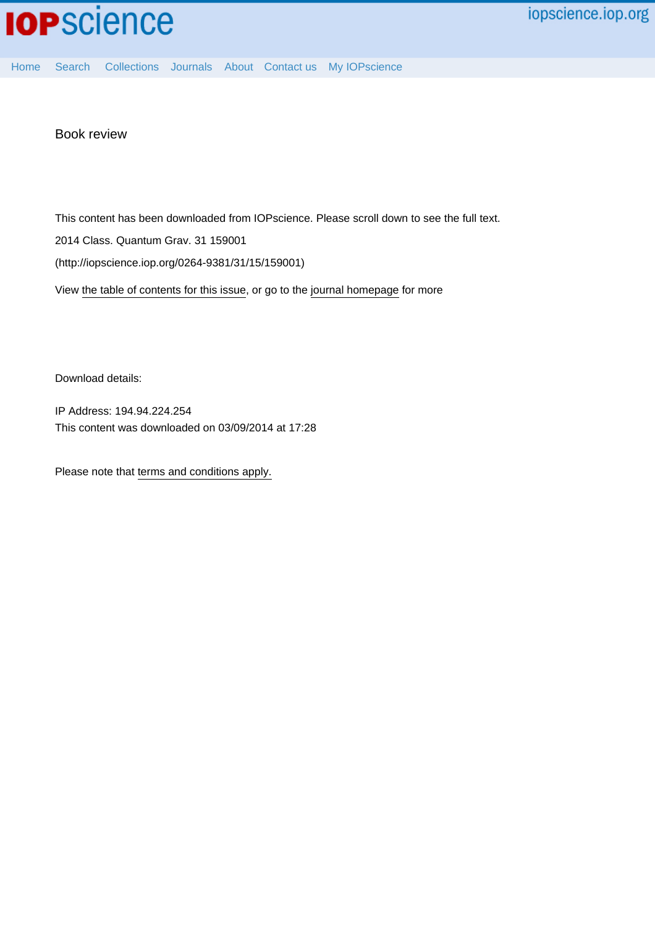

[Home](http://iopscience.iop.org/) [Search](http://iopscience.iop.org/search) [Collections](http://iopscience.iop.org/collections) [Journals](http://iopscience.iop.org/journals) [About](http://iopscience.iop.org/page/aboutioppublishing) [Contact us](http://iopscience.iop.org/contact) [My IOPscience](http://iopscience.iop.org/myiopscience)

Book review

This content has been downloaded from IOPscience. Please scroll down to see the full text.

2014 Class. Quantum Grav. 31 159001

(http://iopscience.iop.org/0264-9381/31/15/159001)

View [the table of contents for this issue](http://iopscience.iop.org/0264-9381/31/15), or go to the [journal homepage](http://iopscience.iop.org/0264-9381) for more

Download details:

IP Address: 194.94.224.254 This content was downloaded on 03/09/2014 at 17:28

Please note that [terms and conditions apply.](iopscience.iop.org/page/terms)